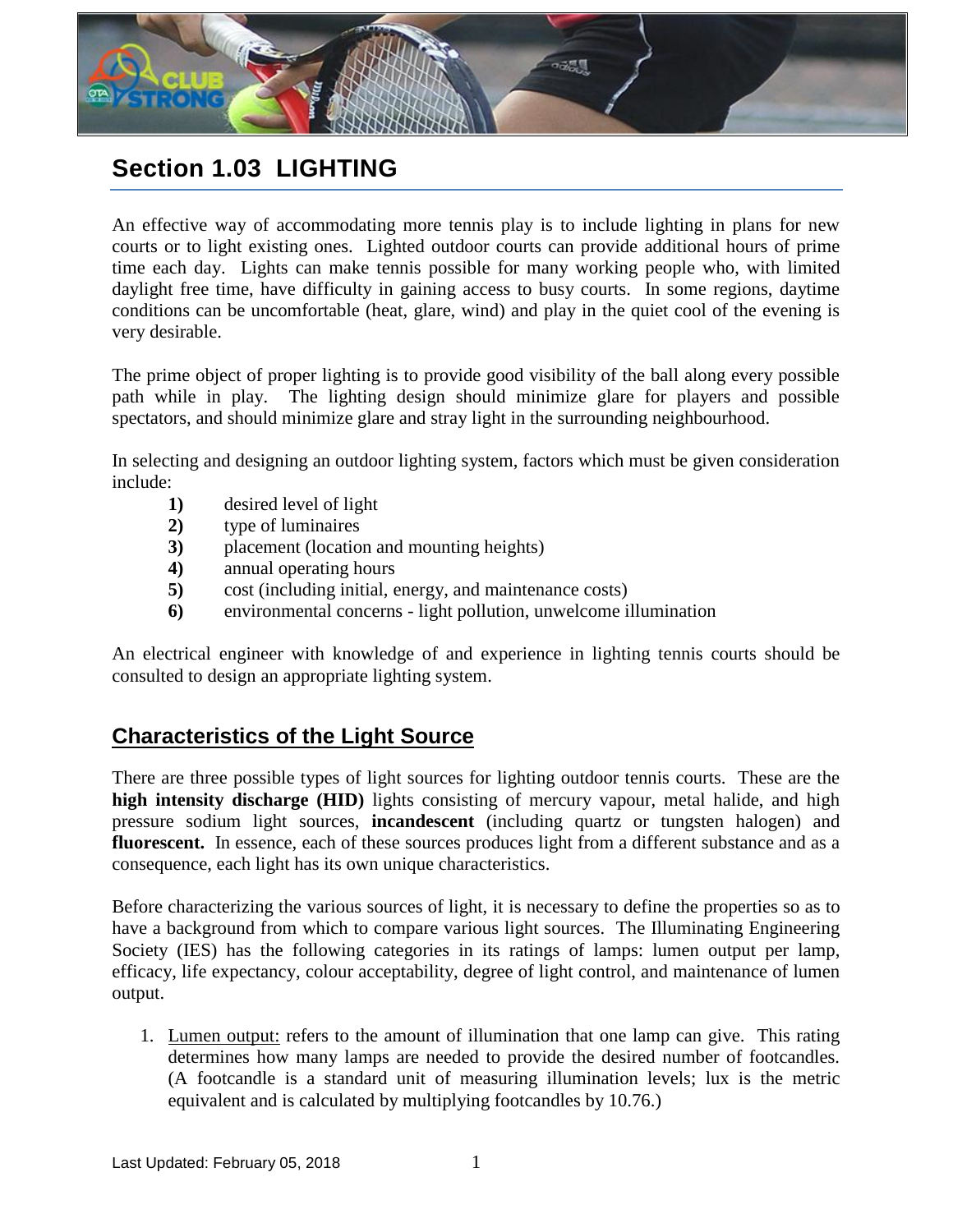

# **Section 1.03 LIGHTING**

An effective way of accommodating more tennis play is to include lighting in plans for new courts or to light existing ones. Lighted outdoor courts can provide additional hours of prime time each day. Lights can make tennis possible for many working people who, with limited daylight free time, have difficulty in gaining access to busy courts. In some regions, daytime conditions can be uncomfortable (heat, glare, wind) and play in the quiet cool of the evening is very desirable.

The prime object of proper lighting is to provide good visibility of the ball along every possible path while in play. The lighting design should minimize glare for players and possible spectators, and should minimize glare and stray light in the surrounding neighbourhood.

In selecting and designing an outdoor lighting system, factors which must be given consideration include:

- **1)** desired level of light
- **2)** type of luminaires
- **3)** placement (location and mounting heights)
- **4)** annual operating hours
- **5)** cost (including initial, energy, and maintenance costs)
- **6)** environmental concerns light pollution, unwelcome illumination

An electrical engineer with knowledge of and experience in lighting tennis courts should be consulted to design an appropriate lighting system.

### **Characteristics of the Light Source**

There are three possible types of light sources for lighting outdoor tennis courts. These are the **high intensity discharge (HID)** lights consisting of mercury vapour, metal halide, and high pressure sodium light sources, **incandescent** (including quartz or tungsten halogen) and fluorescent. In essence, each of these sources produces light from a different substance and as a consequence, each light has its own unique characteristics.

Before characterizing the various sources of light, it is necessary to define the properties so as to have a background from which to compare various light sources. The Illuminating Engineering Society (IES) has the following categories in its ratings of lamps: lumen output per lamp, efficacy, life expectancy, colour acceptability, degree of light control, and maintenance of lumen output.

1. Lumen output: refers to the amount of illumination that one lamp can give. This rating determines how many lamps are needed to provide the desired number of footcandles. (A footcandle is a standard unit of measuring illumination levels; lux is the metric equivalent and is calculated by multiplying footcandles by 10.76.)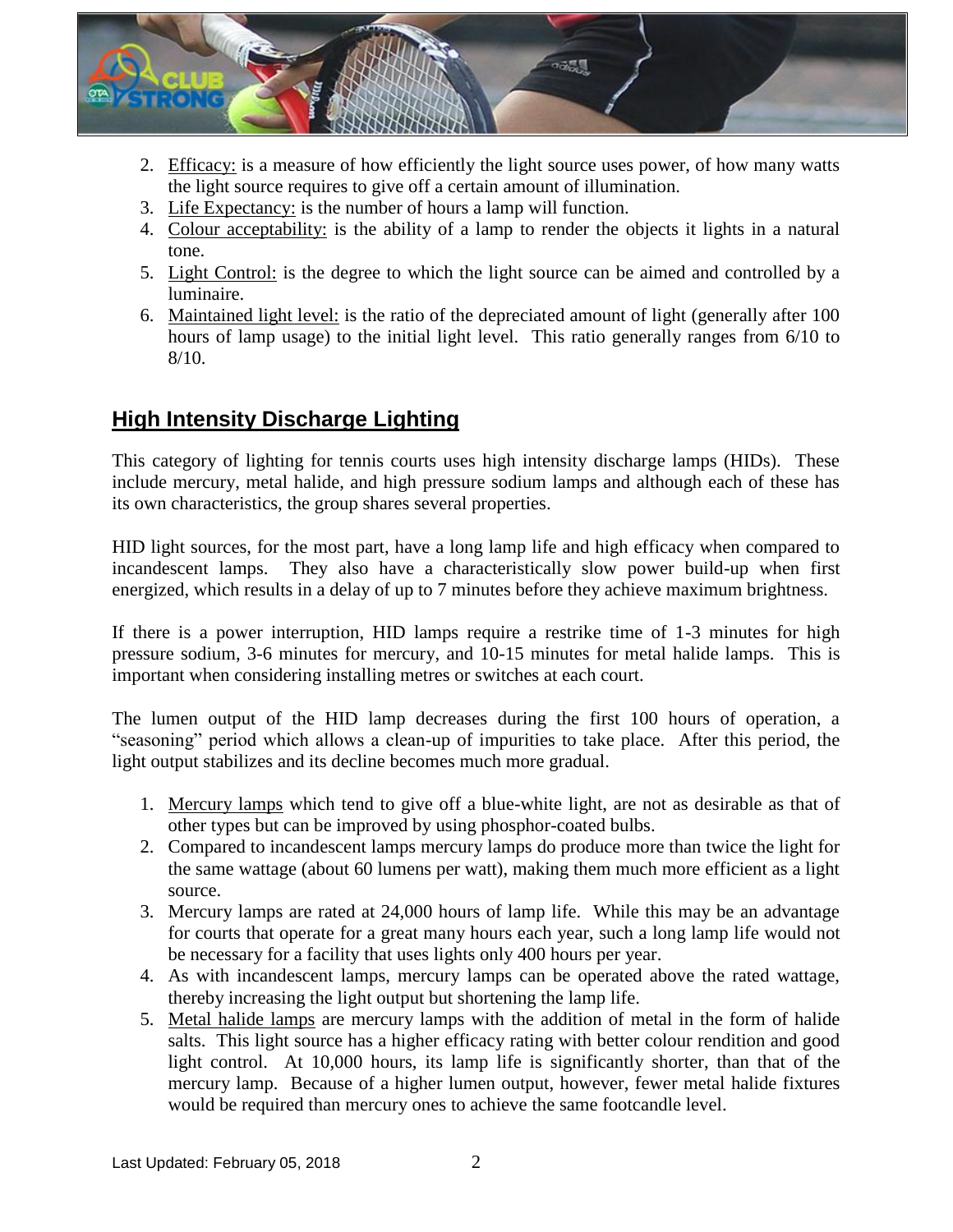

- 2. Efficacy: is a measure of how efficiently the light source uses power, of how many watts the light source requires to give off a certain amount of illumination.
- 3. Life Expectancy: is the number of hours a lamp will function.
- 4. Colour acceptability: is the ability of a lamp to render the objects it lights in a natural tone.
- 5. Light Control: is the degree to which the light source can be aimed and controlled by a luminaire.
- 6. Maintained light level: is the ratio of the depreciated amount of light (generally after 100 hours of lamp usage) to the initial light level. This ratio generally ranges from 6/10 to 8/10.

### **High Intensity Discharge Lighting**

This category of lighting for tennis courts uses high intensity discharge lamps (HIDs). These include mercury, metal halide, and high pressure sodium lamps and although each of these has its own characteristics, the group shares several properties.

HID light sources, for the most part, have a long lamp life and high efficacy when compared to incandescent lamps. They also have a characteristically slow power build-up when first energized, which results in a delay of up to 7 minutes before they achieve maximum brightness.

If there is a power interruption, HID lamps require a restrike time of 1-3 minutes for high pressure sodium, 3-6 minutes for mercury, and 10-15 minutes for metal halide lamps. This is important when considering installing metres or switches at each court.

The lumen output of the HID lamp decreases during the first 100 hours of operation, a "seasoning" period which allows a clean-up of impurities to take place. After this period, the light output stabilizes and its decline becomes much more gradual.

- 1. Mercury lamps which tend to give off a blue-white light, are not as desirable as that of other types but can be improved by using phosphor-coated bulbs.
- 2. Compared to incandescent lamps mercury lamps do produce more than twice the light for the same wattage (about 60 lumens per watt), making them much more efficient as a light source.
- 3. Mercury lamps are rated at 24,000 hours of lamp life. While this may be an advantage for courts that operate for a great many hours each year, such a long lamp life would not be necessary for a facility that uses lights only 400 hours per year.
- 4. As with incandescent lamps, mercury lamps can be operated above the rated wattage, thereby increasing the light output but shortening the lamp life.
- 5. Metal halide lamps are mercury lamps with the addition of metal in the form of halide salts. This light source has a higher efficacy rating with better colour rendition and good light control. At 10,000 hours, its lamp life is significantly shorter, than that of the mercury lamp. Because of a higher lumen output, however, fewer metal halide fixtures would be required than mercury ones to achieve the same footcandle level.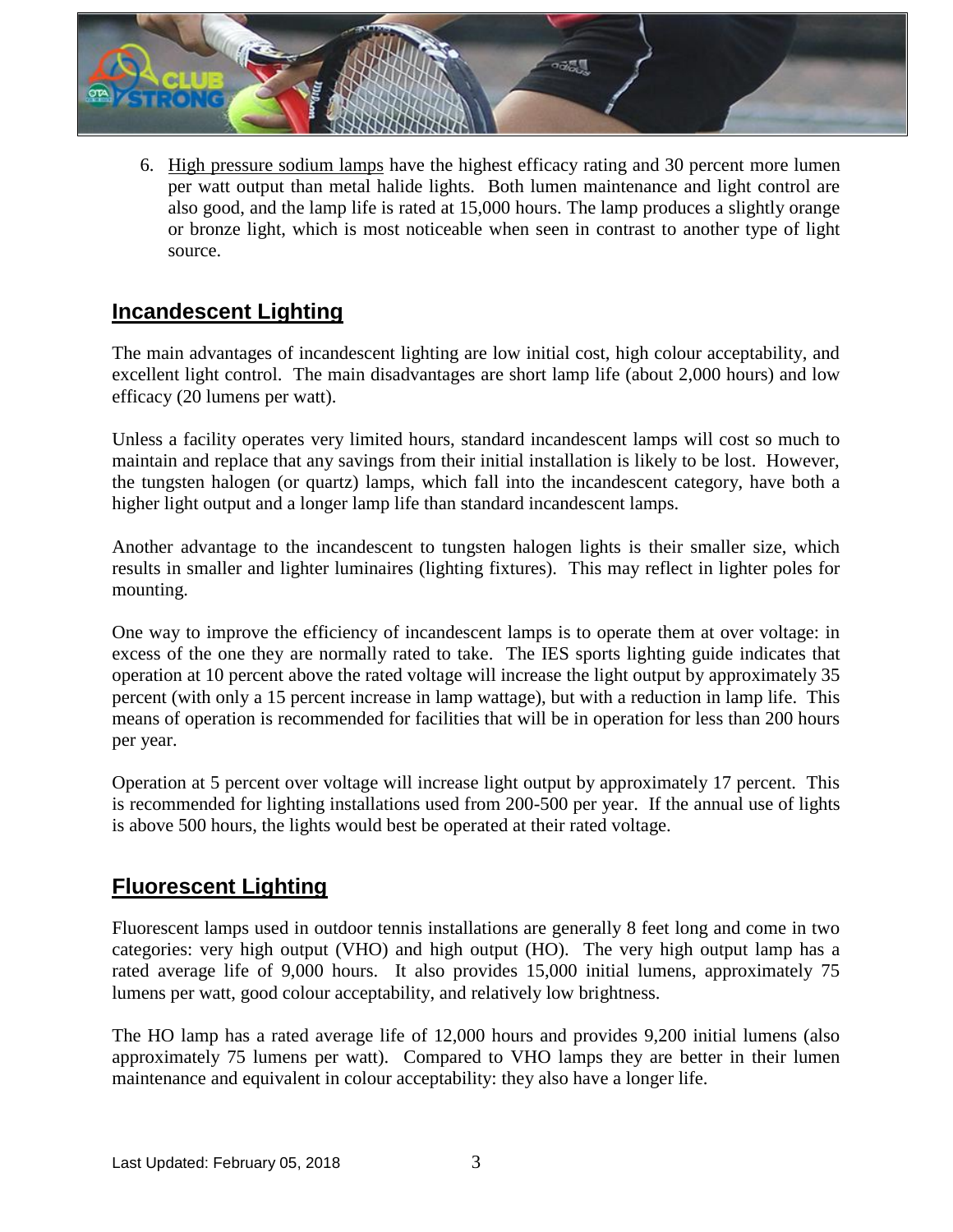

6. High pressure sodium lamps have the highest efficacy rating and 30 percent more lumen per watt output than metal halide lights. Both lumen maintenance and light control are also good, and the lamp life is rated at 15,000 hours. The lamp produces a slightly orange or bronze light, which is most noticeable when seen in contrast to another type of light source.

### **Incandescent Lighting**

The main advantages of incandescent lighting are low initial cost, high colour acceptability, and excellent light control. The main disadvantages are short lamp life (about 2,000 hours) and low efficacy (20 lumens per watt).

Unless a facility operates very limited hours, standard incandescent lamps will cost so much to maintain and replace that any savings from their initial installation is likely to be lost. However, the tungsten halogen (or quartz) lamps, which fall into the incandescent category, have both a higher light output and a longer lamp life than standard incandescent lamps.

Another advantage to the incandescent to tungsten halogen lights is their smaller size, which results in smaller and lighter luminaires (lighting fixtures). This may reflect in lighter poles for mounting.

One way to improve the efficiency of incandescent lamps is to operate them at over voltage: in excess of the one they are normally rated to take. The IES sports lighting guide indicates that operation at 10 percent above the rated voltage will increase the light output by approximately 35 percent (with only a 15 percent increase in lamp wattage), but with a reduction in lamp life. This means of operation is recommended for facilities that will be in operation for less than 200 hours per year.

Operation at 5 percent over voltage will increase light output by approximately 17 percent. This is recommended for lighting installations used from 200-500 per year. If the annual use of lights is above 500 hours, the lights would best be operated at their rated voltage.

### **Fluorescent Lighting**

Fluorescent lamps used in outdoor tennis installations are generally 8 feet long and come in two categories: very high output (VHO) and high output (HO). The very high output lamp has a rated average life of 9,000 hours. It also provides 15,000 initial lumens, approximately 75 lumens per watt, good colour acceptability, and relatively low brightness.

The HO lamp has a rated average life of 12,000 hours and provides 9,200 initial lumens (also approximately 75 lumens per watt). Compared to VHO lamps they are better in their lumen maintenance and equivalent in colour acceptability: they also have a longer life.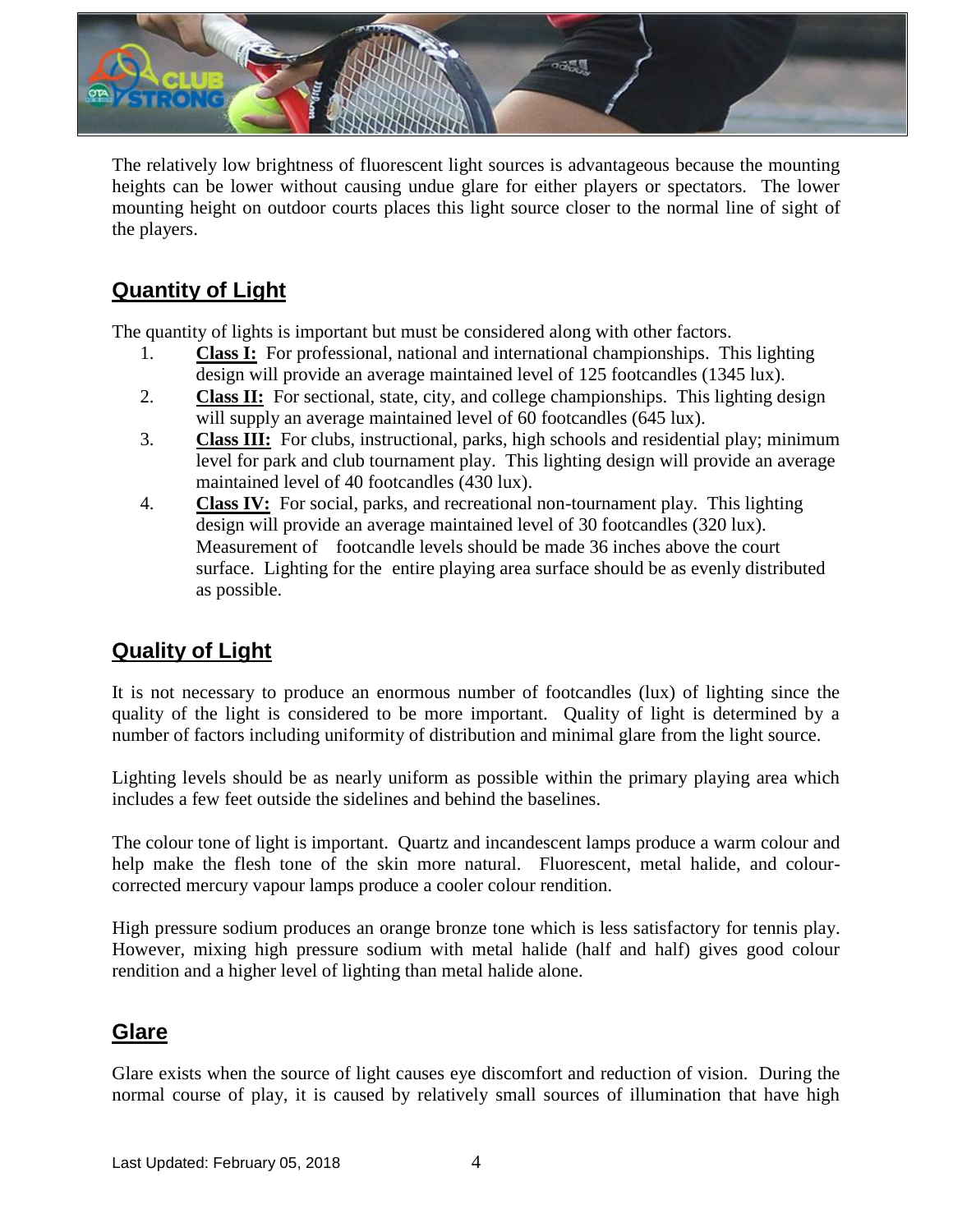

The relatively low brightness of fluorescent light sources is advantageous because the mounting heights can be lower without causing undue glare for either players or spectators. The lower mounting height on outdoor courts places this light source closer to the normal line of sight of the players.

# **Quantity of Light**

The quantity of lights is important but must be considered along with other factors.

- 1. **Class I:** For professional, national and international championships. This lighting design will provide an average maintained level of 125 footcandles (1345 lux).
- 2. **Class II:** For sectional, state, city, and college championships. This lighting design will supply an average maintained level of 60 footcandles (645 lux).
- 3. **Class III:** For clubs, instructional, parks, high schools and residential play; minimum level for park and club tournament play. This lighting design will provide an average maintained level of 40 footcandles (430 lux).
- 4. **Class IV:** For social, parks, and recreational non-tournament play. This lighting design will provide an average maintained level of 30 footcandles (320 lux). Measurement of footcandle levels should be made 36 inches above the court surface. Lighting for the entire playing area surface should be as evenly distributed as possible.

### **Quality of Light**

It is not necessary to produce an enormous number of footcandles (lux) of lighting since the quality of the light is considered to be more important. Quality of light is determined by a number of factors including uniformity of distribution and minimal glare from the light source.

Lighting levels should be as nearly uniform as possible within the primary playing area which includes a few feet outside the sidelines and behind the baselines.

The colour tone of light is important. Quartz and incandescent lamps produce a warm colour and help make the flesh tone of the skin more natural. Fluorescent, metal halide, and colourcorrected mercury vapour lamps produce a cooler colour rendition.

High pressure sodium produces an orange bronze tone which is less satisfactory for tennis play. However, mixing high pressure sodium with metal halide (half and half) gives good colour rendition and a higher level of lighting than metal halide alone.

### **Glare**

Glare exists when the source of light causes eye discomfort and reduction of vision. During the normal course of play, it is caused by relatively small sources of illumination that have high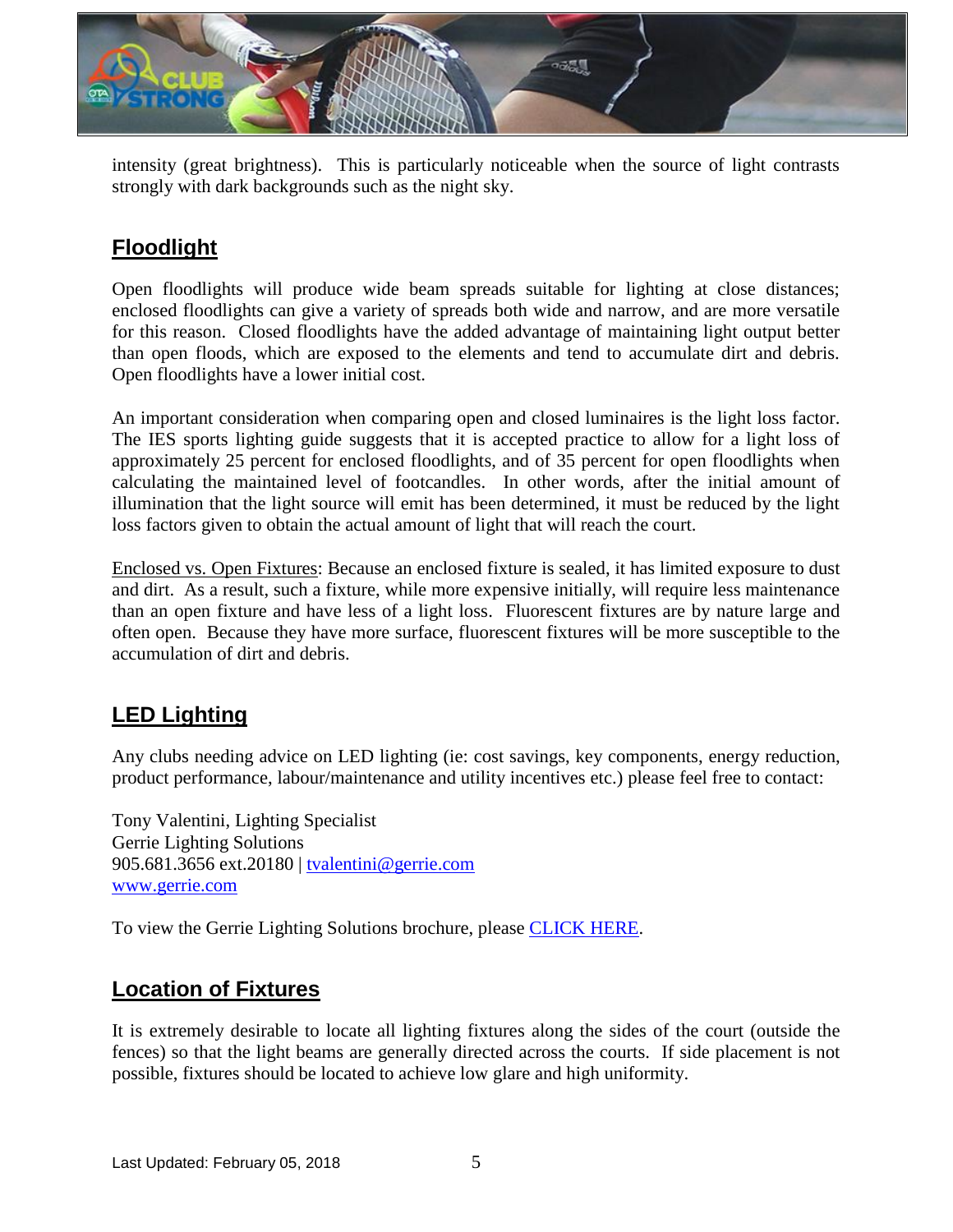

intensity (great brightness). This is particularly noticeable when the source of light contrasts strongly with dark backgrounds such as the night sky.

## **Floodlight**

Open floodlights will produce wide beam spreads suitable for lighting at close distances; enclosed floodlights can give a variety of spreads both wide and narrow, and are more versatile for this reason. Closed floodlights have the added advantage of maintaining light output better than open floods, which are exposed to the elements and tend to accumulate dirt and debris. Open floodlights have a lower initial cost.

An important consideration when comparing open and closed luminaires is the light loss factor. The IES sports lighting guide suggests that it is accepted practice to allow for a light loss of approximately 25 percent for enclosed floodlights, and of 35 percent for open floodlights when calculating the maintained level of footcandles. In other words, after the initial amount of illumination that the light source will emit has been determined, it must be reduced by the light loss factors given to obtain the actual amount of light that will reach the court.

Enclosed vs. Open Fixtures: Because an enclosed fixture is sealed, it has limited exposure to dust and dirt. As a result, such a fixture, while more expensive initially, will require less maintenance than an open fixture and have less of a light loss. Fluorescent fixtures are by nature large and often open. Because they have more surface, fluorescent fixtures will be more susceptible to the accumulation of dirt and debris.

### **LED Lighting**

Any clubs needing advice on LED lighting (ie: cost savings, key components, energy reduction, product performance, labour/maintenance and utility incentives etc.) please feel free to contact:

Tony Valentini, Lighting Specialist Gerrie Lighting Solutions 905.681.3656 ext.20180 | [tvalentini@gerrie.com](mailto:tvalentini@gerrie.com) [www.gerrie.com](http://www.gerrie.com/)

To view the Gerrie Lighting Solutions brochure, please [CLICK HERE.](http://www.tennisontario.com/assets/appsadmin/js/ckfinder/userfiles/files/Brochure%20-%20Gerrie%20Lighting%20Solutions.pdf)

### **Location of Fixtures**

It is extremely desirable to locate all lighting fixtures along the sides of the court (outside the fences) so that the light beams are generally directed across the courts. If side placement is not possible, fixtures should be located to achieve low glare and high uniformity.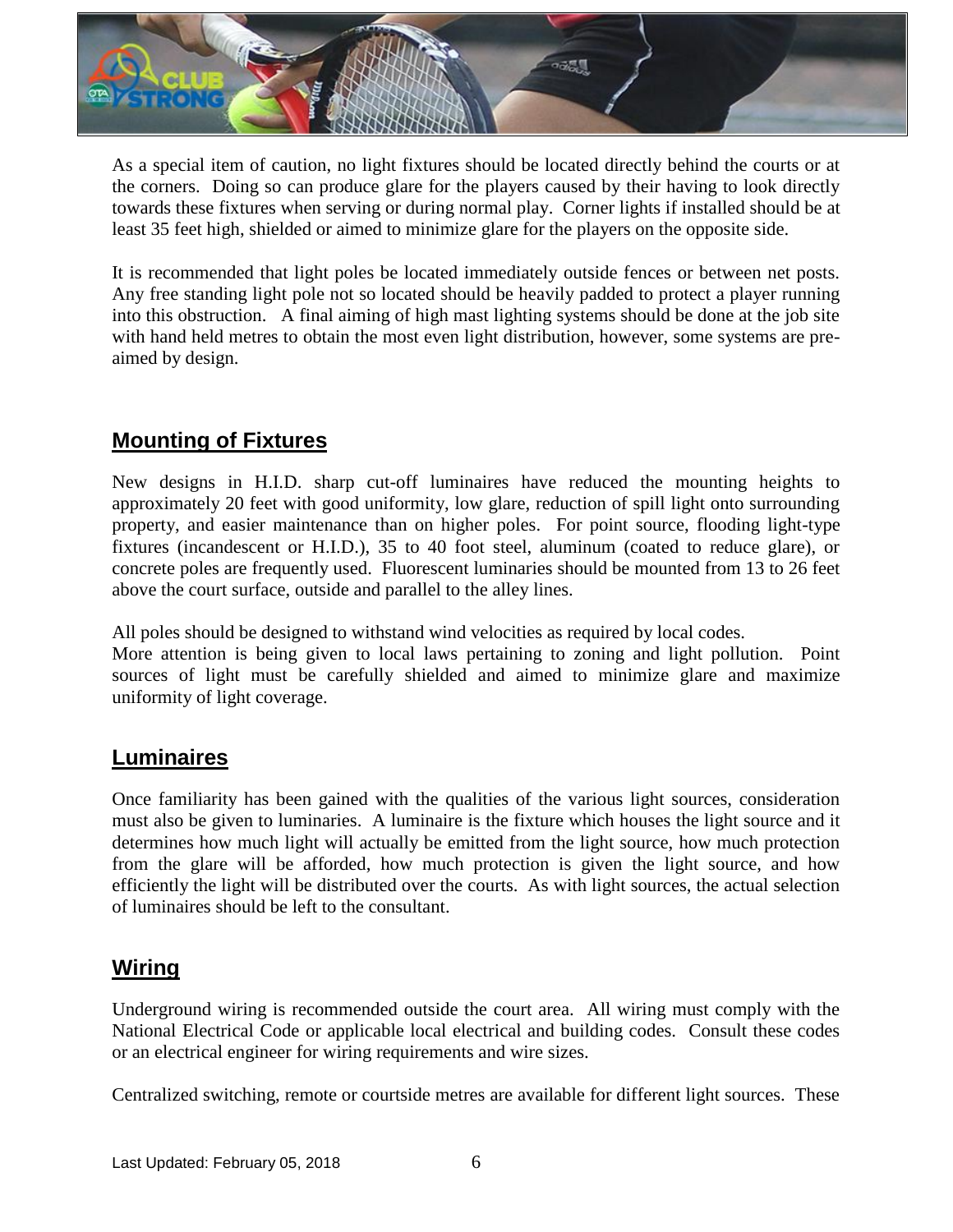

As a special item of caution, no light fixtures should be located directly behind the courts or at the corners. Doing so can produce glare for the players caused by their having to look directly towards these fixtures when serving or during normal play. Corner lights if installed should be at least 35 feet high, shielded or aimed to minimize glare for the players on the opposite side.

It is recommended that light poles be located immediately outside fences or between net posts. Any free standing light pole not so located should be heavily padded to protect a player running into this obstruction. A final aiming of high mast lighting systems should be done at the job site with hand held metres to obtain the most even light distribution, however, some systems are preaimed by design.

### **Mounting of Fixtures**

New designs in H.I.D. sharp cut-off luminaires have reduced the mounting heights to approximately 20 feet with good uniformity, low glare, reduction of spill light onto surrounding property, and easier maintenance than on higher poles. For point source, flooding light-type fixtures (incandescent or H.I.D.), 35 to 40 foot steel, aluminum (coated to reduce glare), or concrete poles are frequently used. Fluorescent luminaries should be mounted from 13 to 26 feet above the court surface, outside and parallel to the alley lines.

All poles should be designed to withstand wind velocities as required by local codes.

More attention is being given to local laws pertaining to zoning and light pollution. Point sources of light must be carefully shielded and aimed to minimize glare and maximize uniformity of light coverage.

#### **Luminaires**

Once familiarity has been gained with the qualities of the various light sources, consideration must also be given to luminaries. A luminaire is the fixture which houses the light source and it determines how much light will actually be emitted from the light source, how much protection from the glare will be afforded, how much protection is given the light source, and how efficiently the light will be distributed over the courts. As with light sources, the actual selection of luminaires should be left to the consultant.

### **Wiring**

Underground wiring is recommended outside the court area. All wiring must comply with the National Electrical Code or applicable local electrical and building codes. Consult these codes or an electrical engineer for wiring requirements and wire sizes.

Centralized switching, remote or courtside metres are available for different light sources. These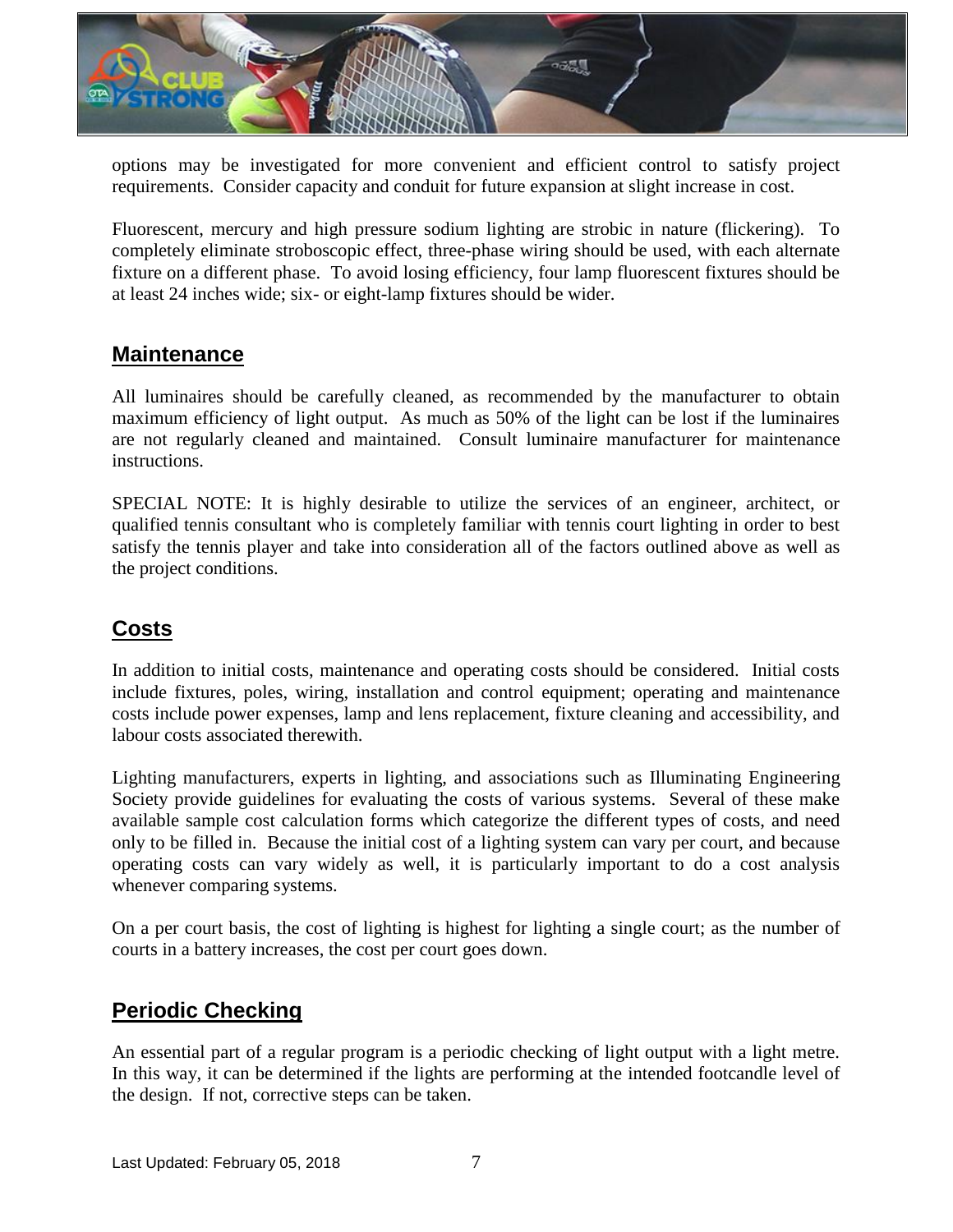

options may be investigated for more convenient and efficient control to satisfy project requirements. Consider capacity and conduit for future expansion at slight increase in cost.

Fluorescent, mercury and high pressure sodium lighting are strobic in nature (flickering). To completely eliminate stroboscopic effect, three-phase wiring should be used, with each alternate fixture on a different phase. To avoid losing efficiency, four lamp fluorescent fixtures should be at least 24 inches wide; six- or eight-lamp fixtures should be wider.

#### **Maintenance**

All luminaires should be carefully cleaned, as recommended by the manufacturer to obtain maximum efficiency of light output. As much as 50% of the light can be lost if the luminaires are not regularly cleaned and maintained. Consult luminaire manufacturer for maintenance instructions.

SPECIAL NOTE: It is highly desirable to utilize the services of an engineer, architect, or qualified tennis consultant who is completely familiar with tennis court lighting in order to best satisfy the tennis player and take into consideration all of the factors outlined above as well as the project conditions.

### **Costs**

In addition to initial costs, maintenance and operating costs should be considered. Initial costs include fixtures, poles, wiring, installation and control equipment; operating and maintenance costs include power expenses, lamp and lens replacement, fixture cleaning and accessibility, and labour costs associated therewith.

Lighting manufacturers, experts in lighting, and associations such as Illuminating Engineering Society provide guidelines for evaluating the costs of various systems. Several of these make available sample cost calculation forms which categorize the different types of costs, and need only to be filled in. Because the initial cost of a lighting system can vary per court, and because operating costs can vary widely as well, it is particularly important to do a cost analysis whenever comparing systems.

On a per court basis, the cost of lighting is highest for lighting a single court; as the number of courts in a battery increases, the cost per court goes down.

### **Periodic Checking**

An essential part of a regular program is a periodic checking of light output with a light metre. In this way, it can be determined if the lights are performing at the intended footcandle level of the design. If not, corrective steps can be taken.